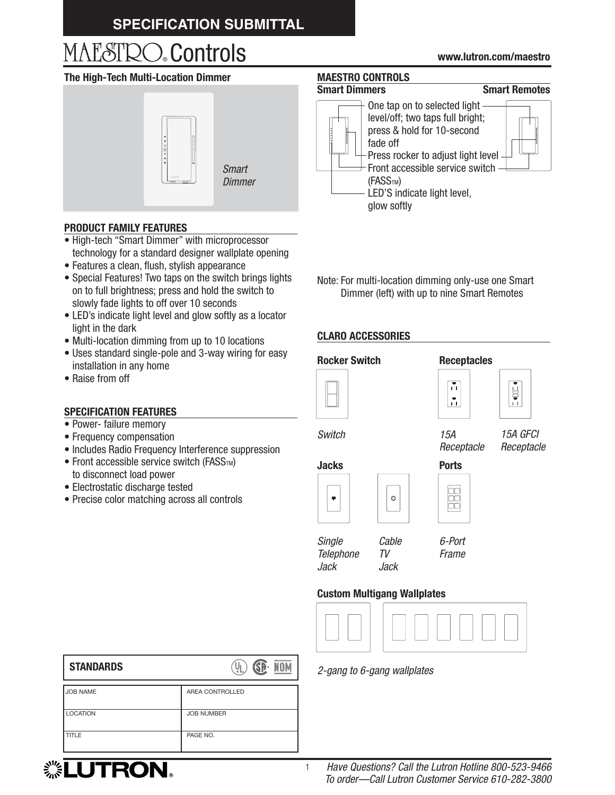### **SPECIFICATION SUBMITTAL**

# ® Controls **www.lutron.com/maestro**

### **The High-Tech Multi-Location Dimmer**



*Dimmer*

### **PRODUCT FAMILY FEATURES**

- High-tech "Smart Dimmer" with microprocessor technology for a standard designer wallplate opening
- Features a clean, flush, stylish appearance
- Special Features! Two taps on the switch brings lights on to full brightness; press and hold the switch to slowly fade lights to off over 10 seconds
- LED's indicate light level and glow softly as a locator light in the dark
- Multi-location dimming from up to 10 locations
- Uses standard single-pole and 3-way wiring for easy installation in any home
- Raise from off

### **SPECIFICATION FEATURES**

- Power- failure memory
- Frequency compensation
- Includes Radio Frequency Interference suppression
- $\bullet$  Front accessible service switch (FASS<sub>TM</sub>) to disconnect load power
- Electrostatic discharge tested
- Precise color matching across all controls

**MAESTRO CONTROLS** 

### **Smart Dimmers Smart Remotes**



Note: For multi-location dimming only-use one Smart Dimmer (left) with up to nine Smart Remotes

### **CLARO ACCESSORIES**









*Switch*

*15A GFCI Receptacle*



88

*Single Telephone Jack*

1

*6-Port Frame*

*15A Receptacle*

M

 $|\tau_i|$ 

### **Custom Multigang Wallplates**

*Cable TV Jack*



*2-gang to 6-gang wallplates*

| <b>STANDARDS</b> | GP-<br>NON<br>٧Į  |
|------------------|-------------------|
| <b>JOB NAME</b>  | AREA CONTROLLED   |
| <b>LOCATION</b>  | <b>JOB NUMBER</b> |
| TITLE            | PAGE NO.          |

## **... LUTRON。**

### *Have Questions? Call the Lutron Hotline 800-523-9466 To order—Call Lutron Customer Service 610-282-3800*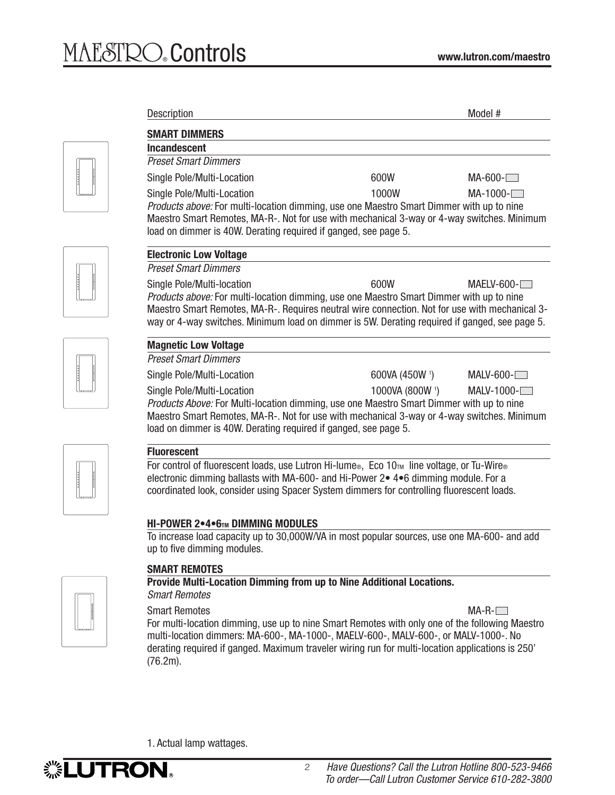| <b>Description</b>                                                                                                                                                                                                                                                                                                        |                | Model #      |
|---------------------------------------------------------------------------------------------------------------------------------------------------------------------------------------------------------------------------------------------------------------------------------------------------------------------------|----------------|--------------|
| <b>SMART DIMMERS</b>                                                                                                                                                                                                                                                                                                      |                |              |
| Incandescent                                                                                                                                                                                                                                                                                                              |                |              |
| <b>Preset Smart Dimmers</b>                                                                                                                                                                                                                                                                                               |                |              |
| Single Pole/Multi-Location                                                                                                                                                                                                                                                                                                | 600W           | $MA-600-$    |
| Single Pole/Multi-Location                                                                                                                                                                                                                                                                                                | 1000W          | $MA-1000-$   |
| <i>Products above:</i> For multi-location dimming, use one Maestro Smart Dimmer with up to nine<br>Maestro Smart Remotes, MA-R-. Not for use with mechanical 3-way or 4-way switches. Minimum<br>load on dimmer is 40W. Derating required if ganged, see page 5.                                                          |                |              |
| <b>Electronic Low Voltage</b>                                                                                                                                                                                                                                                                                             |                |              |
| <b>Preset Smart Dimmers</b>                                                                                                                                                                                                                                                                                               |                |              |
| Single Pole/Multi-location<br>Products above: For multi-location dimming, use one Maestro Smart Dimmer with up to nine<br>Maestro Smart Remotes, MA-R-. Requires neutral wire connection. Not for use with mechanical 3-<br>way or 4-way switches. Minimum load on dimmer is 5W. Derating required if ganged, see page 5. | 600W           | $MAELV-600-$ |
| <b>Magnetic Low Voltage</b>                                                                                                                                                                                                                                                                                               |                |              |
| <b>Preset Smart Dimmers</b>                                                                                                                                                                                                                                                                                               |                |              |
|                                                                                                                                                                                                                                                                                                                           | 600VA (450W 1) | MALV-600-    |
| Single Pole/Multi-Location                                                                                                                                                                                                                                                                                                |                |              |

For control of fluorescent loads, use Lutron Hi-lume<sup>®</sup>, Eco 10™ line voltage, or Tu-Wire<sup>®</sup> electronic dimming ballasts with MA-600- and Hi-Power 2• 4•6 dimming module. For a coordinated look, consider using Spacer System dimmers for controlling fluorescent loads.

### **HI-POWER 2•4•6TM DIMMING MODULES**

To increase load capacity up to 30,000W/VA in most popular sources, use one MA-600- and add up to five dimming modules.



### **SMART REMOTES**

**Provide Multi-Location Dimming from up to Nine Additional Locations.** *Smart Remotes*

Smart Remotes MA-R-Communication of the MA-R-Communication of the MA-R-Communication of the MA-R-Communication of the MA-R-Communication of the MA-R-Communication of the MA-R-Communication of the MA-R-Communication of the

For multi-location dimming, use up to nine Smart Remotes with only one of the following Maestro multi-location dimmers: MA-600-, MA-1000-, MAELV-600-, MALV-600-, or MALV-1000-. No derating required if ganged. Maximum traveler wiring run for multi-location applications is 250' (76.2m).

1. Actual lamp wattages.

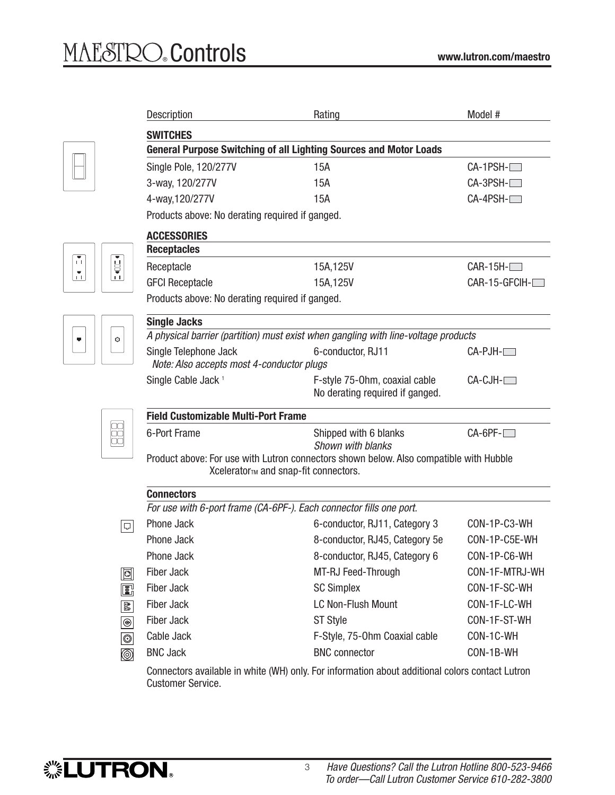$\begin{bmatrix} \bullet \\ \bullet \\ \bullet \end{bmatrix}$ 

×

|                                   | Description                                                                                                                    | Rating                                                           | Model #              |  |  |  |
|-----------------------------------|--------------------------------------------------------------------------------------------------------------------------------|------------------------------------------------------------------|----------------------|--|--|--|
|                                   | <b>SWITCHES</b>                                                                                                                |                                                                  |                      |  |  |  |
|                                   | <b>General Purpose Switching of all Lighting Sources and Motor Loads</b>                                                       |                                                                  |                      |  |  |  |
|                                   | Single Pole, 120/277V                                                                                                          | 15A                                                              | $CA-1PSH-$           |  |  |  |
|                                   | 3-way, 120/277V                                                                                                                | 15A                                                              | $CA-3PSH-$           |  |  |  |
|                                   | 4-way, 120/277V                                                                                                                | 15A                                                              | $CA-4PSH-$           |  |  |  |
|                                   | Products above: No derating required if ganged.                                                                                |                                                                  |                      |  |  |  |
|                                   | <b>ACCESSORIES</b>                                                                                                             |                                                                  |                      |  |  |  |
|                                   | <b>Receptacles</b>                                                                                                             |                                                                  |                      |  |  |  |
| Ě                                 | Receptacle                                                                                                                     | 15A, 125V                                                        | $CAR-15H-$           |  |  |  |
| $\mathbf{1}$                      | <b>GFCI Receptacle</b>                                                                                                         | 15A, 125V                                                        | CAR-15-GFCIH-        |  |  |  |
|                                   | Products above: No derating required if ganged.                                                                                |                                                                  |                      |  |  |  |
|                                   | <b>Single Jacks</b>                                                                                                            |                                                                  |                      |  |  |  |
| Ò                                 | A physical barrier (partition) must exist when gangling with line-voltage products                                             |                                                                  |                      |  |  |  |
|                                   | Single Telephone Jack<br>Note: Also accepts most 4-conductor plugs                                                             | 6-conductor, RJ11                                                | $CA-PJH-$            |  |  |  |
|                                   | Single Cable Jack <sup>1</sup>                                                                                                 | F-style 75-0hm, coaxial cable<br>No derating required if ganged. | CA-CJH- <sup>1</sup> |  |  |  |
|                                   | <b>Field Customizable Multi-Port Frame</b>                                                                                     |                                                                  |                      |  |  |  |
|                                   | 6-Port Frame                                                                                                                   | Shipped with 6 blanks<br>Shown with blanks                       | $CA-6PF-$            |  |  |  |
|                                   | Product above: For use with Lutron connectors shown below. Also compatible with Hubble<br>Xcelerator™ and snap-fit connectors. |                                                                  |                      |  |  |  |
|                                   | <b>Connectors</b>                                                                                                              |                                                                  |                      |  |  |  |
|                                   | For use with 6-port frame (CA-6PF-). Each connector fills one port.                                                            |                                                                  |                      |  |  |  |
| 미                                 | Phone Jack                                                                                                                     | 6-conductor, RJ11, Category 3                                    | CON-1P-C3-WH         |  |  |  |
|                                   | Phone Jack                                                                                                                     | 8-conductor, RJ45, Category 5e                                   | CON-1P-C5E-WH        |  |  |  |
|                                   | Phone Jack                                                                                                                     | 8-conductor, RJ45, Category 6                                    | CON-1P-C6-WH         |  |  |  |
| d                                 | Fiber Jack                                                                                                                     | MT-RJ Feed-Through                                               | CON-1F-MTRJ-WH       |  |  |  |
| ß,                                | <b>Fiber Jack</b>                                                                                                              | <b>SC Simplex</b>                                                | CON-1F-SC-WH         |  |  |  |
| aå.                               | <b>Fiber Jack</b>                                                                                                              | <b>LC Non-Flush Mount</b>                                        | CON-1F-LC-WH         |  |  |  |
| $_{\textcircled{\scriptsize{9}}}$ | <b>Fiber Jack</b>                                                                                                              | <b>ST Style</b>                                                  | CON-1F-ST-WH         |  |  |  |
| $  \circlearrowright  $           | Cable Jack                                                                                                                     | F-Style, 75-Ohm Coaxial cable                                    | CON-1C-WH            |  |  |  |
| ◎                                 | <b>BNC Jack</b>                                                                                                                | <b>BNC</b> connector                                             | CON-1B-WH            |  |  |  |
|                                   | Connectors available in white (WH) only. For information about additional colors contact Lutron<br><b>Customer Service.</b>    |                                                                  |                      |  |  |  |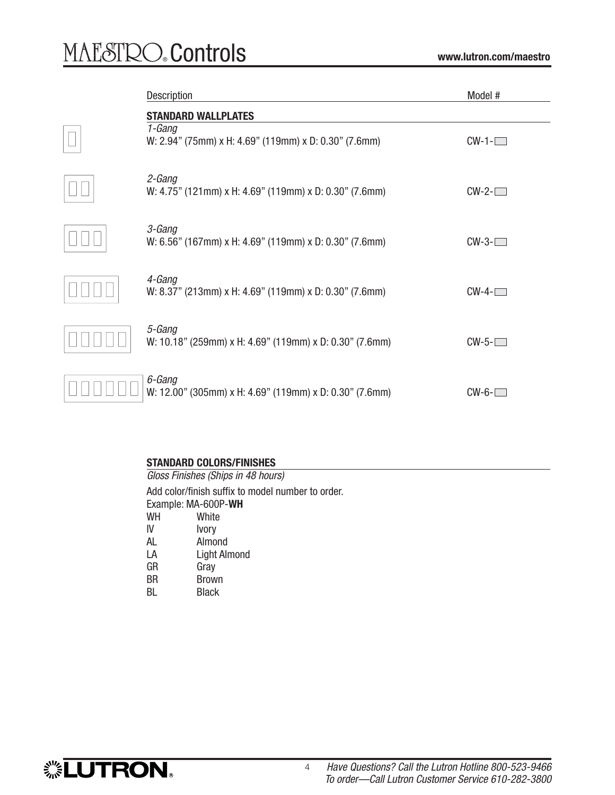$\hfill\Box$ 

 $\Box$ Box

 $\Box$ 

 $\hfill\Box$ 

 $\Box$ 

 $\Box$ 

| <b>Description</b>                                                                            | Model #         |
|-----------------------------------------------------------------------------------------------|-----------------|
| <b>STANDARD WALLPLATES</b><br>1-Gang<br>W: 2.94" (75mm) x H: 4.69" (119mm) x D: 0.30" (7.6mm) | $CW-1$ - $\Box$ |
| 2-Gang<br>W: 4.75" (121mm) x H: 4.69" (119mm) x D: 0.30" (7.6mm)                              | $CW-2$ - $\Box$ |
| 3-Gang<br>W: 6.56" (167mm) x H: 4.69" (119mm) x D: 0.30" (7.6mm)                              | $CW-3$ - $\Box$ |
| 4-Gang<br>W: 8.37" (213mm) x H: 4.69" (119mm) x D: 0.30" (7.6mm)                              | $CW-4$ - $\Box$ |
| 5-Gang<br>W: 10.18" (259mm) x H: 4.69" (119mm) x D: 0.30" (7.6mm)                             | $CW-5$ - $\Box$ |
| 6-Gang<br>W: 12.00" (305mm) x H: 4.69" (119mm) x D: 0.30" (7.6mm)                             | $CW-6$ - $\Box$ |

### **STANDARD COLORS/FINISHES**

*Gloss Finishes (Ships in 48 hours)* Add color/finish suffix to model number to order. Example: MA-600P-**WH** WH White IV Ivory<br>AL Almo Almond LA Light Almond<br>GR Grav GR Gray<br>BR Brow **Brown** BL Black

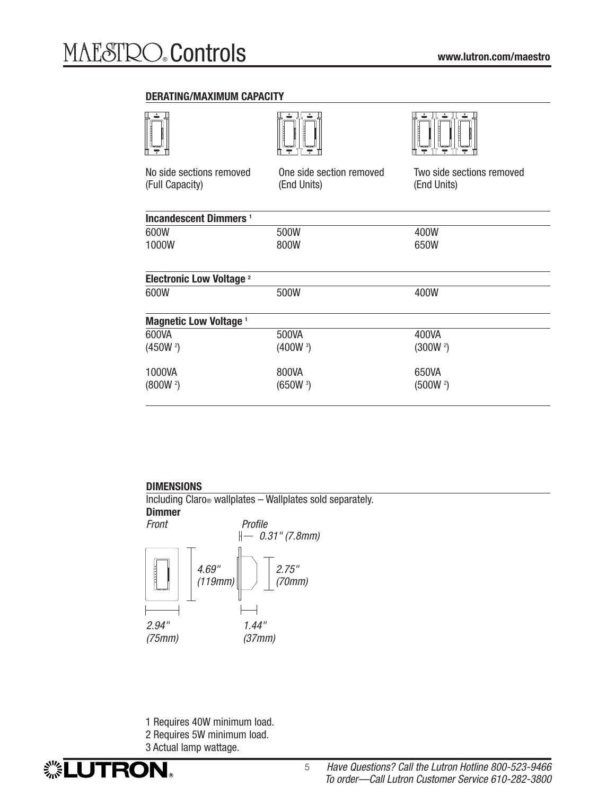### **DERATING/MAXIMUM CAPACITY**



### **DIMENSIONS**

*0.31" (7.8mm)* Including Claro® wallplates – Wallplates sold separately. **Dimmer** *Front Profile*



- 1 Requires 40W minimum load.
- 2 Requires 5W minimum load.
- 3 Actual lamp wattage.

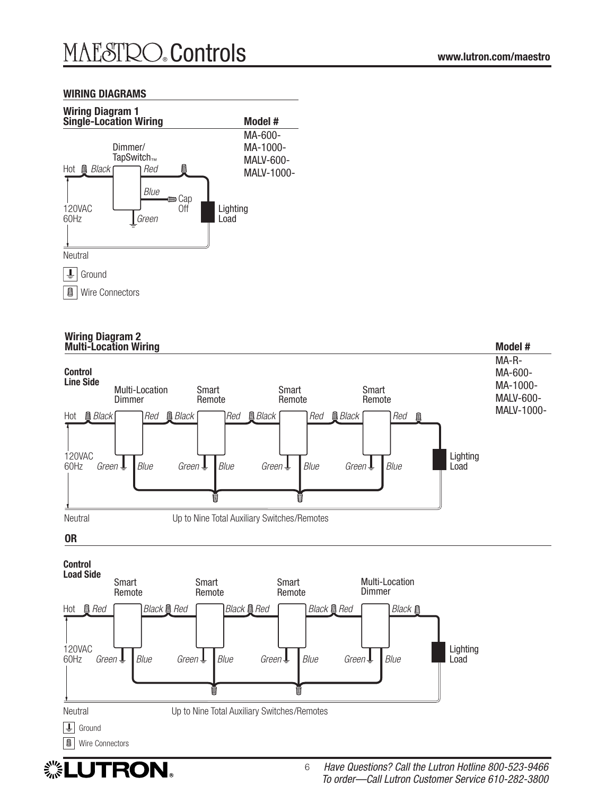### **WIRING DIAGRAMS**



#### **Wiring Diagram 2** Multi-Location Wiring **Multi-Location Wiring** Model #  $\blacksquare$



▒LUTRON。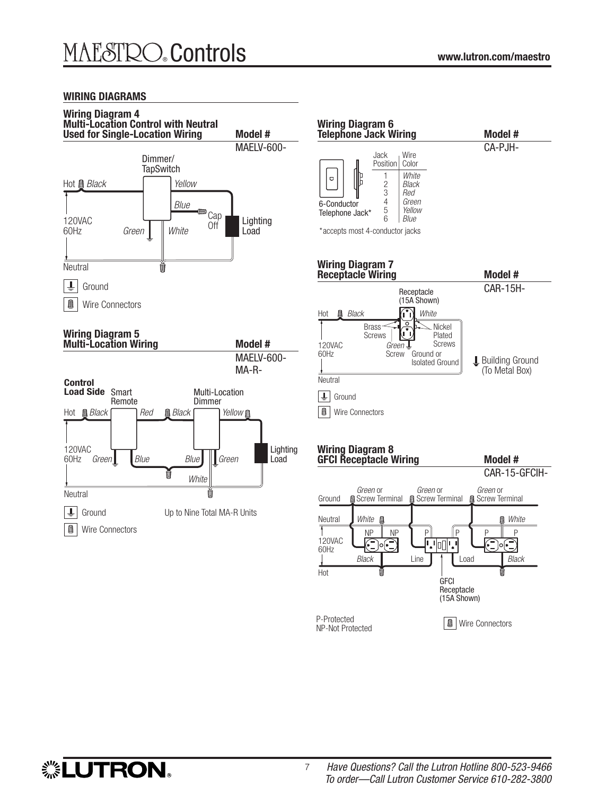### **WIRING DIAGRAMS**



#### **Wiring Diagram 6 Telephone Jack Wiring Model #** CA-PJH-Jack Wire Position Color White Q  $\begin{array}{c|c} 2 & B\n \end{array}$  Black  $\begin{array}{c|c} 3 & \text{Red} \\ 4 & \text{Gree} \end{array}$  $\begin{array}{c|c}\n4 & \text{Green} \\
5 & \text{Yellow}\n\end{array}$ 6-Conductor 5 Yellow<br>6 *Blue* Telephone Jack\* 6 Blue \* accepts most 4-conductor jacks **Wiring Diagram 7 Receptacle Wiring Model #** CAR-15H-Receptacle (15A Shown) Hot **Q** *Black* (i'i) *White* Nickel Brass Screws Plated Ľ 120VAC Screws Green 60Hz Screw Ground or **L** Building Ground Isolated Ground (To Metal Box) **Neutral**  $\left| \frac{1}{2} \right|$ Ground **O** | Wire Connectors **Wiring Diagram 8** GFCI Receptacle Wiring **Model #** CAR-15-GFCIH-Green or Green or Green or Screw Terminal Screw Terminal Screw Terminal Ground Neutral White White NP || P|| || || P|| P 120VAC **|','**|∏]|','  $\circ \in$ 60Hz Black Line | | | Load Black Hot **GFCI** Receptacle (15A Shown) P-Protected<br>ND Not Protected<br>
Nicolated **Department** NP-Not Protected

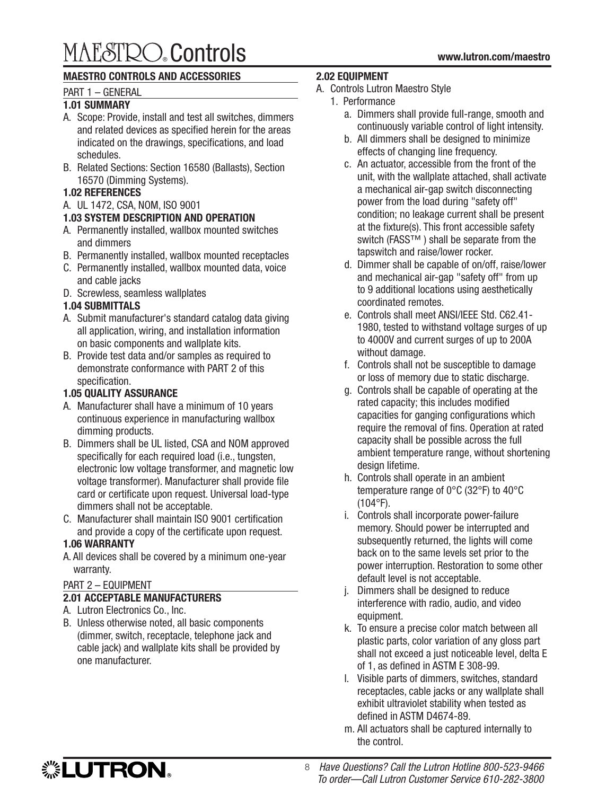# ® Controls **www.lutron.com/maestro**

### **MAESTRO CONTROLS AND ACCESSORIES**

### PART 1 – GENERAL

### **1.01 SUMMARY**

- A. Scope: Provide, install and test all switches, dimmers and related devices as specified herein for the areas indicated on the drawings, specifications, and load schedules.
- B. Related Sections: Section 16580 (Ballasts), Section 16570 (Dimming Systems).

### **1.02 REFERENCES**

A. UL 1472, CSA, NOM, ISO 9001

### **1.03 SYSTEM DESCRIPTION AND OPERATION**

- A. Permanently installed, wallbox mounted switches and dimmers
- B. Permanently installed, wallbox mounted receptacles
- C. Permanently installed, wallbox mounted data, voice and cable jacks
- D. Screwless, seamless wallplates

### **1.04 SUBMITTALS**

- A. Submit manufacturer's standard catalog data giving all application, wiring, and installation information on basic components and wallplate kits.
- B. Provide test data and/or samples as required to demonstrate conformance with PART 2 of this specification.

### **1.05 QUALITY ASSURANCE**

- A. Manufacturer shall have a minimum of 10 years continuous experience in manufacturing wallbox dimming products.
- B. Dimmers shall be UL listed, CSA and NOM approved specifically for each required load (i.e., tungsten, electronic low voltage transformer, and magnetic low voltage transformer). Manufacturer shall provide file card or certificate upon request. Universal load-type dimmers shall not be acceptable.
- C. Manufacturer shall maintain ISO 9001 certification and provide a copy of the certificate upon request.

### **1.06 WARRANTY**

A. All devices shall be covered by a minimum one-year warranty.

### PART 2 – EQUIPMENT

### **2.01 ACCEPTABLE MANUFACTURERS**

- A. Lutron Electronics Co., Inc.
- B. Unless otherwise noted, all basic components (dimmer, switch, receptacle, telephone jack and cable jack) and wallplate kits shall be provided by one manufacturer.

### **2.02 EQUIPMENT**

- A. Controls Lutron Maestro Style
	- 1. Performance
		- a. Dimmers shall provide full-range, smooth and continuously variable control of light intensity.
		- b. All dimmers shall be designed to minimize effects of changing line frequency.
		- c. An actuator, accessible from the front of the unit, with the wallplate attached, shall activate a mechanical air-gap switch disconnecting power from the load during "safety off" condition; no leakage current shall be present at the fixture(s). This front accessible safety switch (FASS™) shall be separate from the tapswitch and raise/lower rocker.
		- d. Dimmer shall be capable of on/off, raise/lower and mechanical air-gap "safety off" from up to 9 additional locations using aesthetically coordinated remotes.
		- e. Controls shall meet ANSI/IEEE Std. C62.41- 1980, tested to withstand voltage surges of up to 4000V and current surges of up to 200A without damage.
		- f. Controls shall not be susceptible to damage or loss of memory due to static discharge.
		- g. Controls shall be capable of operating at the rated capacity; this includes modified capacities for ganging configurations which require the removal of fins. Operation at rated capacity shall be possible across the full ambient temperature range, without shortening design lifetime.
		- h. Controls shall operate in an ambient temperature range of 0°C (32°F) to 40°C (104°F).
		- i. Controls shall incorporate power-failure memory. Should power be interrupted and subsequently returned, the lights will come back on to the same levels set prior to the power interruption. Restoration to some other default level is not acceptable.
		- j. Dimmers shall be designed to reduce interference with radio, audio, and video equipment.
		- k. To ensure a precise color match between all plastic parts, color variation of any gloss part shall not exceed a just noticeable level, delta E of 1, as defined in ASTM E 308-99.
		- l. Visible parts of dimmers, switches, standard receptacles, cable jacks or any wallplate shall exhibit ultraviolet stability when tested as defined in ASTM D4674-89.
		- m. All actuators shall be captured internally to the control.



8 *Have Questions? Call the Lutron Hotline 800-523-9466 To order—Call Lutron Customer Service 610-282-3800*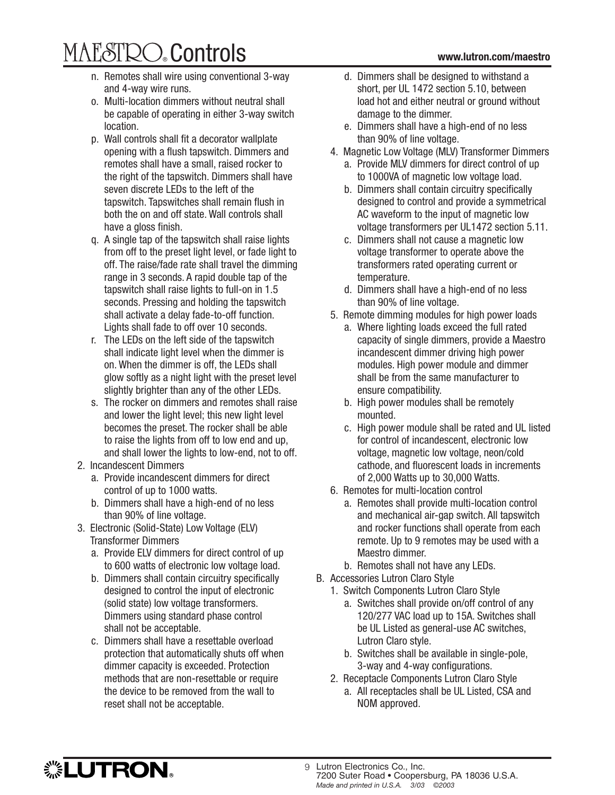# ® Controls **www.lutron.com/maestro**

- n. Remotes shall wire using conventional 3-way and 4-way wire runs.
- o. Multi-location dimmers without neutral shall be capable of operating in either 3-way switch location.
- p. Wall controls shall fit a decorator wallplate opening with a flush tapswitch. Dimmers and remotes shall have a small, raised rocker to the right of the tapswitch. Dimmers shall have seven discrete LEDs to the left of the tapswitch. Tapswitches shall remain flush in both the on and off state. Wall controls shall have a gloss finish.
- q. A single tap of the tapswitch shall raise lights from off to the preset light level, or fade light to off. The raise/fade rate shall travel the dimming range in 3 seconds. A rapid double tap of the tapswitch shall raise lights to full-on in 1.5 seconds. Pressing and holding the tapswitch shall activate a delay fade-to-off function. Lights shall fade to off over 10 seconds.
- r. The LEDs on the left side of the tapswitch shall indicate light level when the dimmer is on. When the dimmer is off, the LEDs shall glow softly as a night light with the preset level slightly brighter than any of the other LEDs.
- s. The rocker on dimmers and remotes shall raise and lower the light level; this new light level becomes the preset. The rocker shall be able to raise the lights from off to low end and up, and shall lower the lights to low-end, not to off.
- 2. Incandescent Dimmers
	- a. Provide incandescent dimmers for direct control of up to 1000 watts.
	- b. Dimmers shall have a high-end of no less than 90% of line voltage.
- 3. Electronic (Solid-State) Low Voltage (ELV) Transformer Dimmers
	- a. Provide ELV dimmers for direct control of up to 600 watts of electronic low voltage load.
	- b. Dimmers shall contain circuitry specifically designed to control the input of electronic (solid state) low voltage transformers. Dimmers using standard phase control shall not be acceptable.
	- c. Dimmers shall have a resettable overload protection that automatically shuts off when dimmer capacity is exceeded. Protection methods that are non-resettable or require the device to be removed from the wall to reset shall not be acceptable.
- d. Dimmers shall be designed to withstand a short, per UL 1472 section 5.10, between load hot and either neutral or ground without damage to the dimmer.
- e. Dimmers shall have a high-end of no less than 90% of line voltage.
- 4. Magnetic Low Voltage (MLV) Transformer Dimmers
	- a. Provide MLV dimmers for direct control of up to 1000VA of magnetic low voltage load.
	- b. Dimmers shall contain circuitry specifically designed to control and provide a symmetrical AC waveform to the input of magnetic low voltage transformers per UL1472 section 5.11.
	- c. Dimmers shall not cause a magnetic low voltage transformer to operate above the transformers rated operating current or temperature.
	- d. Dimmers shall have a high-end of no less than 90% of line voltage.
- 5. Remote dimming modules for high power loads
	- a. Where lighting loads exceed the full rated capacity of single dimmers, provide a Maestro incandescent dimmer driving high power modules. High power module and dimmer shall be from the same manufacturer to ensure compatibility.
	- b. High power modules shall be remotely mounted.
	- c. High power module shall be rated and UL listed for control of incandescent, electronic low voltage, magnetic low voltage, neon/cold cathode, and fluorescent loads in increments of 2,000 Watts up to 30,000 Watts.
- 6. Remotes for multi-location control
	- a. Remotes shall provide multi-location control and mechanical air-gap switch. All tapswitch and rocker functions shall operate from each remote. Up to 9 remotes may be used with a Maestro dimmer.
- b. Remotes shall not have any LEDs.
- B. Accessories Lutron Claro Style

NOM approved.

- 1. Switch Components Lutron Claro Style
	- a. Switches shall provide on/off control of any 120/277 VAC load up to 15A. Switches shall be UL Listed as general-use AC switches, Lutron Claro style.
	- b. Switches shall be available in single-pole, 3-way and 4-way configurations.
- 2. Receptacle Components Lutron Claro Style a. All receptacles shall be UL Listed, CSA and



<sup>9</sup> Lutron Electronics Co., Inc. 7200 Suter Road • Coopersburg, PA 18036 U.S.A. *Made and printed in U.S.A. 3/03 ©2003*